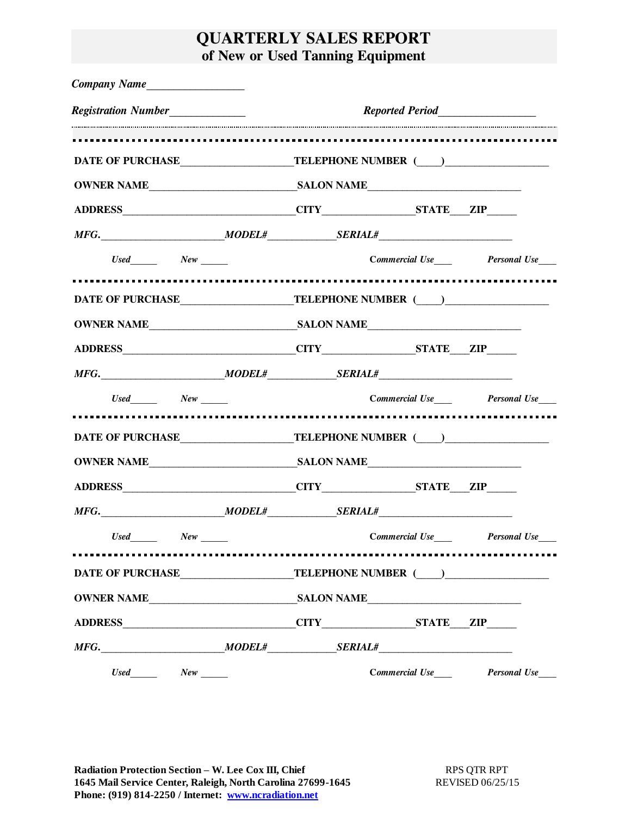## **QUARTERLY SALES REPORT of New or Used Tanning Equipment**

| <b>Registration Number</b>                                                                           |  |  |                                                                                                                |  |                                    |                     |  |  |  |
|------------------------------------------------------------------------------------------------------|--|--|----------------------------------------------------------------------------------------------------------------|--|------------------------------------|---------------------|--|--|--|
|                                                                                                      |  |  |                                                                                                                |  |                                    |                     |  |  |  |
|                                                                                                      |  |  | DATE OF PURCHASE TELEPHONE NUMBER (COMPUTER CONTROLLER COMPUTER CONTROLLER CONTROLLER CONTROLLER CONTROLLER CO |  |                                    |                     |  |  |  |
|                                                                                                      |  |  |                                                                                                                |  |                                    |                     |  |  |  |
|                                                                                                      |  |  |                                                                                                                |  |                                    |                     |  |  |  |
|                                                                                                      |  |  |                                                                                                                |  |                                    |                     |  |  |  |
| $Use d \_\_\_\_\_\_\_\_\_\_\_\_\_\_\_\_\_\_\_\_\_$                                                   |  |  |                                                                                                                |  |                                    |                     |  |  |  |
| DATE OF PURCHASE_________________________TELEPHONE NUMBER (____)_________________                    |  |  |                                                                                                                |  |                                    |                     |  |  |  |
|                                                                                                      |  |  |                                                                                                                |  |                                    |                     |  |  |  |
|                                                                                                      |  |  |                                                                                                                |  |                                    |                     |  |  |  |
|                                                                                                      |  |  |                                                                                                                |  |                                    |                     |  |  |  |
|                                                                                                      |  |  | Used New New Commercial Use Personal Use                                                                       |  |                                    |                     |  |  |  |
|                                                                                                      |  |  |                                                                                                                |  |                                    |                     |  |  |  |
|                                                                                                      |  |  |                                                                                                                |  |                                    |                     |  |  |  |
|                                                                                                      |  |  |                                                                                                                |  |                                    |                     |  |  |  |
|                                                                                                      |  |  |                                                                                                                |  |                                    |                     |  |  |  |
|                                                                                                      |  |  |                                                                                                                |  |                                    |                     |  |  |  |
| $Used$ $New$ $\qquad$                                                                                |  |  |                                                                                                                |  | <b>Commercial Use Personal Use</b> |                     |  |  |  |
| .                                                                                                    |  |  |                                                                                                                |  |                                    |                     |  |  |  |
| DATE OF PURCHASE TELEPHONE NUMBER (COMPUTER CONSTRUER COMPUTER CONSTRUER COMPUTER STATES OF PURCHASE |  |  |                                                                                                                |  |                                    |                     |  |  |  |
|                                                                                                      |  |  |                                                                                                                |  |                                    |                     |  |  |  |
|                                                                                                      |  |  |                                                                                                                |  |                                    |                     |  |  |  |
|                                                                                                      |  |  |                                                                                                                |  |                                    |                     |  |  |  |
|                                                                                                      |  |  |                                                                                                                |  | Commercial Use____                 | <b>Personal Use</b> |  |  |  |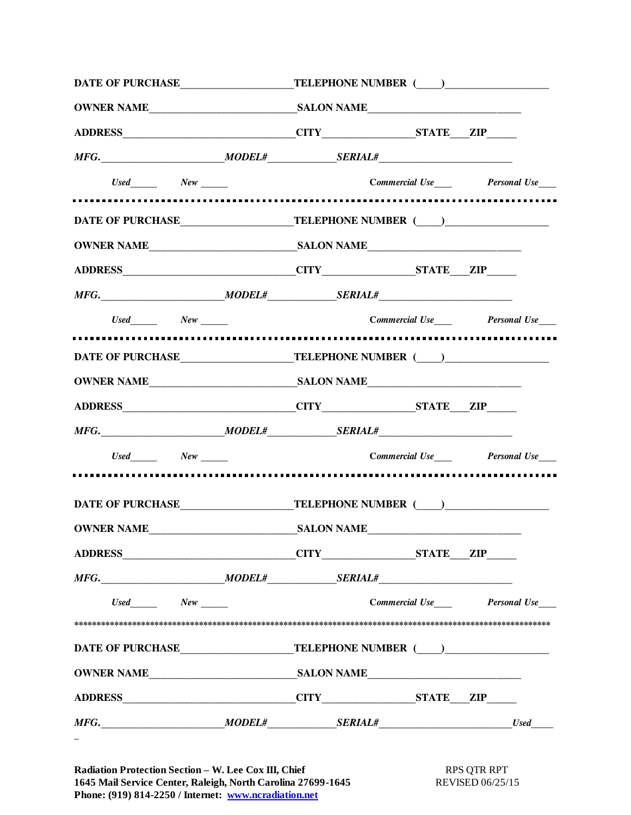|                                                                                   | DATE OF PURCHASE_________________________TELEPHONE NUMBER (____)________________ |                                                                                                                                                                                                                                                                                                                                                                                                                                                                                                                                       |  |                             |  |       |  |
|-----------------------------------------------------------------------------------|----------------------------------------------------------------------------------|---------------------------------------------------------------------------------------------------------------------------------------------------------------------------------------------------------------------------------------------------------------------------------------------------------------------------------------------------------------------------------------------------------------------------------------------------------------------------------------------------------------------------------------|--|-----------------------------|--|-------|--|
|                                                                                   |                                                                                  |                                                                                                                                                                                                                                                                                                                                                                                                                                                                                                                                       |  |                             |  |       |  |
|                                                                                   |                                                                                  |                                                                                                                                                                                                                                                                                                                                                                                                                                                                                                                                       |  |                             |  |       |  |
| $MFG.$ Meg. MODEL# SERIAL#                                                        |                                                                                  |                                                                                                                                                                                                                                                                                                                                                                                                                                                                                                                                       |  |                             |  |       |  |
|                                                                                   |                                                                                  | $Use d \hspace{20pt}\n \begin{array}{r}\n Use \hspace{1.2cm}\n \begin{array}{r}\n \begin{array}{r}\n \begin{array}{r}\n \begin{array}{r}\n \end{array}\n \end{array} \end{array} \end{array} \end{array} \end{array} \end{array} \begin{array}{r}\n \begin{array}{r}\n \begin{array}{r}\n \end{array} \end{array} \end{array} \end{array} \end{array} \begin{array}{r}\n \begin{array}{r}\n \end{array} \end{array} \end{array} \begin{array}{r}\n \begin{array}{r}\n \end{array} \end{array} \end{array} \begin{array}{r}\n \begin{$ |  |                             |  |       |  |
|                                                                                   |                                                                                  |                                                                                                                                                                                                                                                                                                                                                                                                                                                                                                                                       |  |                             |  |       |  |
| DATE OF PURCHASE_________________________TELEPHONE NUMBER (____)________________  |                                                                                  |                                                                                                                                                                                                                                                                                                                                                                                                                                                                                                                                       |  |                             |  |       |  |
|                                                                                   |                                                                                  |                                                                                                                                                                                                                                                                                                                                                                                                                                                                                                                                       |  |                             |  |       |  |
|                                                                                   |                                                                                  |                                                                                                                                                                                                                                                                                                                                                                                                                                                                                                                                       |  |                             |  |       |  |
|                                                                                   |                                                                                  |                                                                                                                                                                                                                                                                                                                                                                                                                                                                                                                                       |  |                             |  |       |  |
|                                                                                   |                                                                                  |                                                                                                                                                                                                                                                                                                                                                                                                                                                                                                                                       |  |                             |  |       |  |
|                                                                                   |                                                                                  |                                                                                                                                                                                                                                                                                                                                                                                                                                                                                                                                       |  |                             |  |       |  |
| DATE OF PURCHASE________________________TELEPHONE NUMBER (____)_________________  |                                                                                  |                                                                                                                                                                                                                                                                                                                                                                                                                                                                                                                                       |  |                             |  |       |  |
|                                                                                   |                                                                                  |                                                                                                                                                                                                                                                                                                                                                                                                                                                                                                                                       |  |                             |  |       |  |
|                                                                                   |                                                                                  |                                                                                                                                                                                                                                                                                                                                                                                                                                                                                                                                       |  |                             |  |       |  |
|                                                                                   |                                                                                  |                                                                                                                                                                                                                                                                                                                                                                                                                                                                                                                                       |  |                             |  |       |  |
|                                                                                   |                                                                                  |                                                                                                                                                                                                                                                                                                                                                                                                                                                                                                                                       |  |                             |  |       |  |
| DATE OF PURCHASE__________________________TELEPHONE NUMBER (____)________________ |                                                                                  |                                                                                                                                                                                                                                                                                                                                                                                                                                                                                                                                       |  |                             |  |       |  |
|                                                                                   |                                                                                  |                                                                                                                                                                                                                                                                                                                                                                                                                                                                                                                                       |  |                             |  |       |  |
|                                                                                   |                                                                                  |                                                                                                                                                                                                                                                                                                                                                                                                                                                                                                                                       |  |                             |  |       |  |
|                                                                                   |                                                                                  |                                                                                                                                                                                                                                                                                                                                                                                                                                                                                                                                       |  |                             |  |       |  |
|                                                                                   |                                                                                  |                                                                                                                                                                                                                                                                                                                                                                                                                                                                                                                                       |  |                             |  |       |  |
| Used New                                                                          |                                                                                  |                                                                                                                                                                                                                                                                                                                                                                                                                                                                                                                                       |  | Commercial Use Personal Use |  |       |  |
|                                                                                   |                                                                                  |                                                                                                                                                                                                                                                                                                                                                                                                                                                                                                                                       |  |                             |  |       |  |
| DATE OF PURCHASE________________________TELEPHONE NUMBER (____)_________________  |                                                                                  |                                                                                                                                                                                                                                                                                                                                                                                                                                                                                                                                       |  |                             |  |       |  |
|                                                                                   |                                                                                  |                                                                                                                                                                                                                                                                                                                                                                                                                                                                                                                                       |  |                             |  |       |  |
|                                                                                   |                                                                                  |                                                                                                                                                                                                                                                                                                                                                                                                                                                                                                                                       |  |                             |  |       |  |
|                                                                                   |                                                                                  |                                                                                                                                                                                                                                                                                                                                                                                                                                                                                                                                       |  |                             |  | Use d |  |
|                                                                                   |                                                                                  |                                                                                                                                                                                                                                                                                                                                                                                                                                                                                                                                       |  |                             |  |       |  |